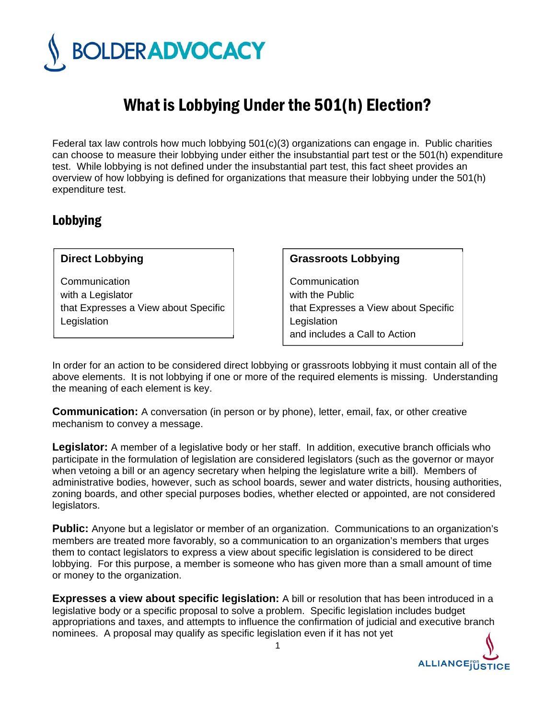

# What is Lobbying Under the 501(h) Election?

Federal tax law controls how much lobbying 501(c)(3) organizations can engage in. Public charities can choose to measure their lobbying under either the insubstantial part test or the 501(h) expenditure test. While lobbying is not defined under the insubstantial part test, this fact sheet provides an overview of how lobbying is defined for organizations that measure their lobbying under the 501(h) expenditure test.

## Lobbying

#### **Direct Lobbying**

**Communication** with a Legislator that Expresses a View about Specific Legislation

#### **Grassroots Lobbying**

**Communication** with the Public that Expresses a View about Specific **Legislation** and includes a Call to Action

In order for an action to be considered direct lobbying or grassroots lobbying it must contain all of the above elements. It is not lobbying if one or more of the required elements is missing. Understanding the meaning of each element is key.

**Communication:** A conversation (in person or by phone), letter, email, fax, or other creative mechanism to convey a message.

**Legislator:** A member of a legislative body or her staff. In addition, executive branch officials who participate in the formulation of legislation are considered legislators (such as the governor or mayor when vetoing a bill or an agency secretary when helping the legislature write a bill). Members of administrative bodies, however, such as school boards, sewer and water districts, housing authorities, zoning boards, and other special purposes bodies, whether elected or appointed, are not considered legislators.

**Public:** Anyone but a legislator or member of an organization. Communications to an organization's members are treated more favorably, so a communication to an organization's members that urges them to contact legislators to express a view about specific legislation is considered to be direct lobbying. For this purpose, a member is someone who has given more than a small amount of time or money to the organization.

**Expresses a view about specific legislation:** A bill or resolution that has been introduced in a legislative body or a specific proposal to solve a problem. Specific legislation includes budget appropriations and taxes, and attempts to influence the confirmation of judicial and executive branch nominees. A proposal may qualify as specific legislation even if it has not yet

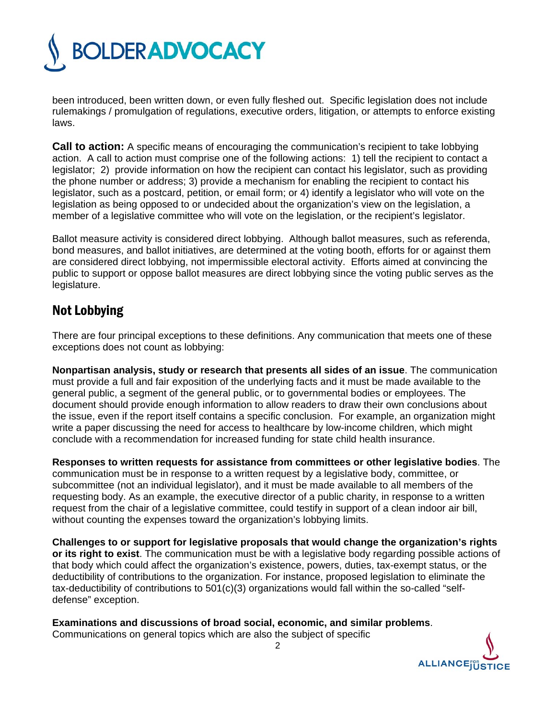

been introduced, been written down, or even fully fleshed out. Specific legislation does not include rulemakings / promulgation of regulations, executive orders, litigation, or attempts to enforce existing laws.

**Call to action:** A specific means of encouraging the communication's recipient to take lobbying action. A call to action must comprise one of the following actions: 1) tell the recipient to contact a legislator; 2) provide information on how the recipient can contact his legislator, such as providing the phone number or address; 3) provide a mechanism for enabling the recipient to contact his legislator, such as a postcard, petition, or email form; or 4) identify a legislator who will vote on the legislation as being opposed to or undecided about the organization's view on the legislation, a member of a legislative committee who will vote on the legislation, or the recipient's legislator.

Ballot measure activity is considered direct lobbying. Although ballot measures, such as referenda, bond measures, and ballot initiatives, are determined at the voting booth, efforts for or against them are considered direct lobbying, not impermissible electoral activity. Efforts aimed at convincing the public to support or oppose ballot measures are direct lobbying since the voting public serves as the legislature.

### Not Lobbying

There are four principal exceptions to these definitions. Any communication that meets one of these exceptions does not count as lobbying:

**Nonpartisan analysis, study or research that presents all sides of an issue**. The communication must provide a full and fair exposition of the underlying facts and it must be made available to the general public, a segment of the general public, or to governmental bodies or employees. The document should provide enough information to allow readers to draw their own conclusions about the issue, even if the report itself contains a specific conclusion. For example, an organization might write a paper discussing the need for access to healthcare by low-income children, which might conclude with a recommendation for increased funding for state child health insurance.

**Responses to written requests for assistance from committees or other legislative bodies**. The communication must be in response to a written request by a legislative body, committee, or subcommittee (not an individual legislator), and it must be made available to all members of the requesting body. As an example, the executive director of a public charity, in response to a written request from the chair of a legislative committee, could testify in support of a clean indoor air bill, without counting the expenses toward the organization's lobbying limits.

**Challenges to or support for legislative proposals that would change the organization's rights or its right to exist**. The communication must be with a legislative body regarding possible actions of that body which could affect the organization's existence, powers, duties, tax-exempt status, or the deductibility of contributions to the organization. For instance, proposed legislation to eliminate the tax-deductibility of contributions to  $501(c)(3)$  organizations would fall within the so-called "selfdefense" exception.

**Examinations and discussions of broad social, economic, and similar problems**.

Communications on general topics which are also the subject of specific